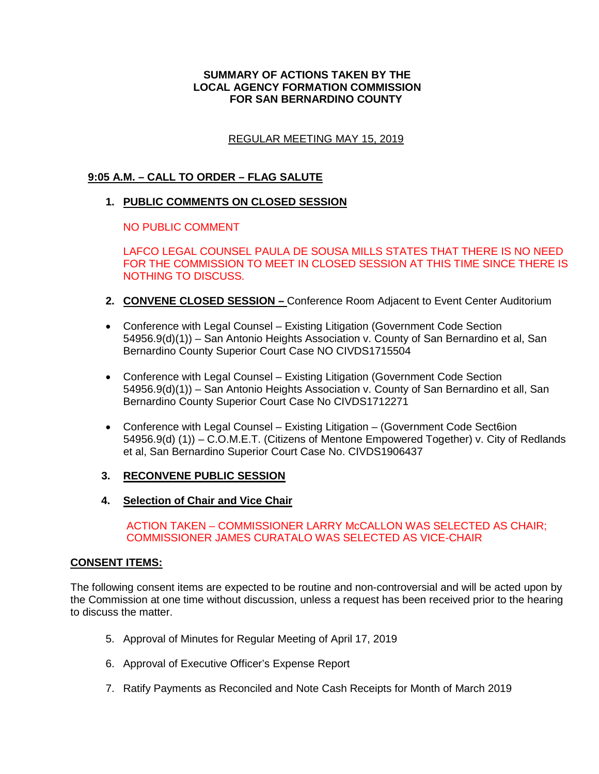## **SUMMARY OF ACTIONS TAKEN BY THE LOCAL AGENCY FORMATION COMMISSION FOR SAN BERNARDINO COUNTY**

# REGULAR MEETING MAY 15, 2019

# **9:05 A.M. – CALL TO ORDER – FLAG SALUTE**

## **1. PUBLIC COMMENTS ON CLOSED SESSION**

NO PUBLIC COMMENT

LAFCO LEGAL COUNSEL PAULA DE SOUSA MILLS STATES THAT THERE IS NO NEED FOR THE COMMISSION TO MEET IN CLOSED SESSION AT THIS TIME SINCE THERE IS NOTHING TO DISCUSS.

- **2. CONVENE CLOSED SESSION –** Conference Room Adjacent to Event Center Auditorium
- Conference with Legal Counsel Existing Litigation (Government Code Section 54956.9(d)(1)) – San Antonio Heights Association v. County of San Bernardino et al, San Bernardino County Superior Court Case NO CIVDS1715504
- Conference with Legal Counsel Existing Litigation (Government Code Section 54956.9(d)(1)) – San Antonio Heights Association v. County of San Bernardino et all, San Bernardino County Superior Court Case No CIVDS1712271
- Conference with Legal Counsel Existing Litigation (Government Code Sect6ion 54956.9(d) (1)) – C.O.M.E.T. (Citizens of Mentone Empowered Together) v. City of Redlands et al, San Bernardino Superior Court Case No. CIVDS1906437
- **3. RECONVENE PUBLIC SESSION**
- **4. Selection of Chair and Vice Chair**

 ACTION TAKEN – COMMISSIONER LARRY McCALLON WAS SELECTED AS CHAIR; COMMISSIONER JAMES CURATALO WAS SELECTED AS VICE-CHAIR

### **CONSENT ITEMS:**

The following consent items are expected to be routine and non-controversial and will be acted upon by the Commission at one time without discussion, unless a request has been received prior to the hearing to discuss the matter.

- 5. Approval of Minutes for Regular Meeting of April 17, 2019
- 6. Approval of Executive Officer's Expense Report
- 7. Ratify Payments as Reconciled and Note Cash Receipts for Month of March 2019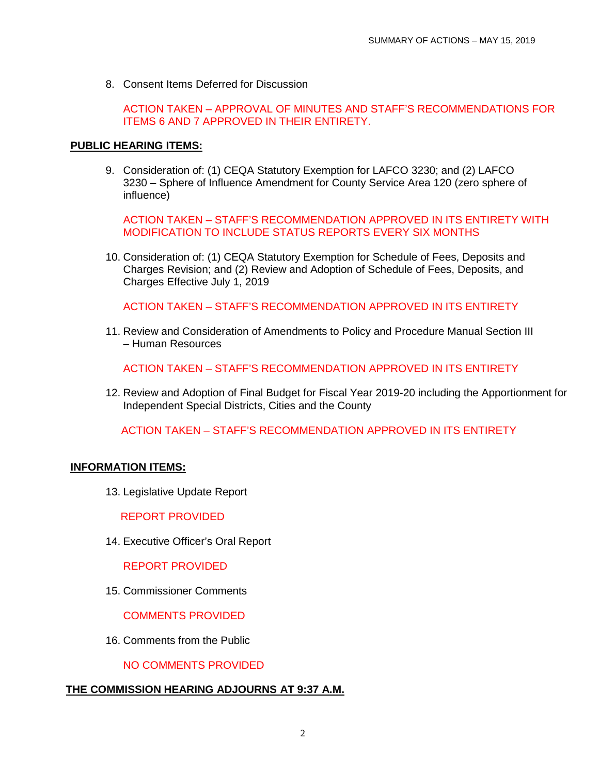8. Consent Items Deferred for Discussion

ACTION TAKEN – APPROVAL OF MINUTES AND STAFF'S RECOMMENDATIONS FOR ITEMS 6 AND 7 APPROVED IN THEIR ENTIRETY.

#### **PUBLIC HEARING ITEMS:**

9. Consideration of: (1) CEQA Statutory Exemption for LAFCO 3230; and (2) LAFCO 3230 – Sphere of Influence Amendment for County Service Area 120 (zero sphere of influence)

ACTION TAKEN – STAFF'S RECOMMENDATION APPROVED IN ITS ENTIRETY WITH MODIFICATION TO INCLUDE STATUS REPORTS EVERY SIX MONTHS

10. Consideration of: (1) CEQA Statutory Exemption for Schedule of Fees, Deposits and Charges Revision; and (2) Review and Adoption of Schedule of Fees, Deposits, and Charges Effective July 1, 2019

ACTION TAKEN – STAFF'S RECOMMENDATION APPROVED IN ITS ENTIRETY

11. Review and Consideration of Amendments to Policy and Procedure Manual Section III – Human Resources

ACTION TAKEN – STAFF'S RECOMMENDATION APPROVED IN ITS ENTIRETY

12. Review and Adoption of Final Budget for Fiscal Year 2019-20 including the Apportionment for Independent Special Districts, Cities and the County

ACTION TAKEN – STAFF'S RECOMMENDATION APPROVED IN ITS ENTIRETY

#### **INFORMATION ITEMS:**

13. Legislative Update Report

REPORT PROVIDED

14. Executive Officer's Oral Report

REPORT PROVIDED

15. Commissioner Comments

COMMENTS PROVIDED

16. Comments from the Public

NO COMMENTS PROVIDED

### **THE COMMISSION HEARING ADJOURNS AT 9:37 A.M.**